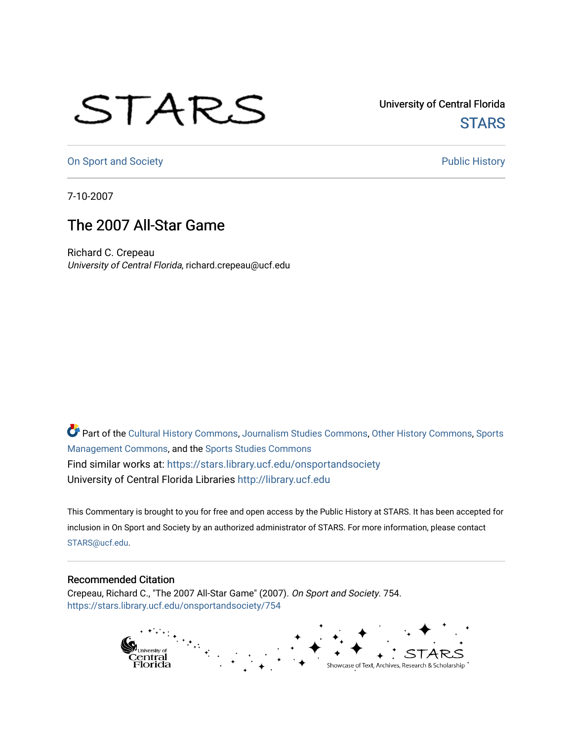## STARS

University of Central Florida **STARS** 

[On Sport and Society](https://stars.library.ucf.edu/onsportandsociety) **Public History** Public History

7-10-2007

## The 2007 All-Star Game

Richard C. Crepeau University of Central Florida, richard.crepeau@ucf.edu

Part of the [Cultural History Commons](http://network.bepress.com/hgg/discipline/496?utm_source=stars.library.ucf.edu%2Fonsportandsociety%2F754&utm_medium=PDF&utm_campaign=PDFCoverPages), [Journalism Studies Commons,](http://network.bepress.com/hgg/discipline/333?utm_source=stars.library.ucf.edu%2Fonsportandsociety%2F754&utm_medium=PDF&utm_campaign=PDFCoverPages) [Other History Commons,](http://network.bepress.com/hgg/discipline/508?utm_source=stars.library.ucf.edu%2Fonsportandsociety%2F754&utm_medium=PDF&utm_campaign=PDFCoverPages) [Sports](http://network.bepress.com/hgg/discipline/1193?utm_source=stars.library.ucf.edu%2Fonsportandsociety%2F754&utm_medium=PDF&utm_campaign=PDFCoverPages) [Management Commons](http://network.bepress.com/hgg/discipline/1193?utm_source=stars.library.ucf.edu%2Fonsportandsociety%2F754&utm_medium=PDF&utm_campaign=PDFCoverPages), and the [Sports Studies Commons](http://network.bepress.com/hgg/discipline/1198?utm_source=stars.library.ucf.edu%2Fonsportandsociety%2F754&utm_medium=PDF&utm_campaign=PDFCoverPages) Find similar works at: <https://stars.library.ucf.edu/onsportandsociety> University of Central Florida Libraries [http://library.ucf.edu](http://library.ucf.edu/) 

This Commentary is brought to you for free and open access by the Public History at STARS. It has been accepted for inclusion in On Sport and Society by an authorized administrator of STARS. For more information, please contact [STARS@ucf.edu](mailto:STARS@ucf.edu).

## Recommended Citation

Crepeau, Richard C., "The 2007 All-Star Game" (2007). On Sport and Society. 754. [https://stars.library.ucf.edu/onsportandsociety/754](https://stars.library.ucf.edu/onsportandsociety/754?utm_source=stars.library.ucf.edu%2Fonsportandsociety%2F754&utm_medium=PDF&utm_campaign=PDFCoverPages)

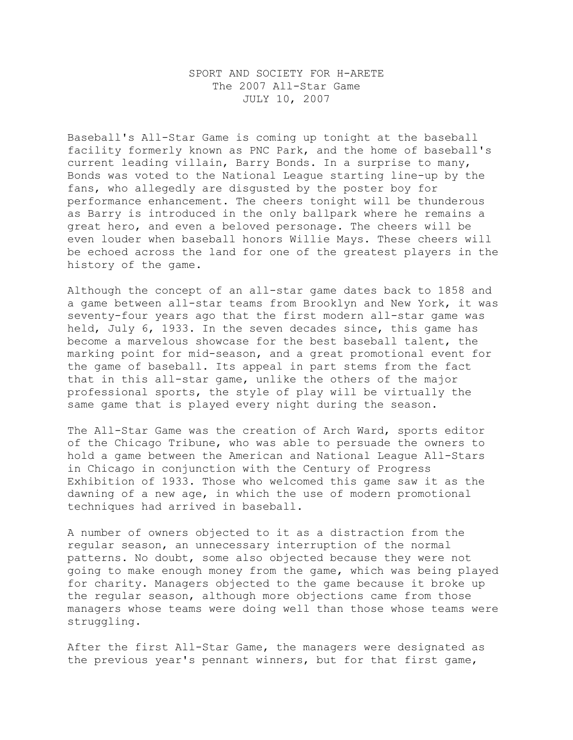## SPORT AND SOCIETY FOR H-ARETE The 2007 All-Star Game JULY 10, 2007

Baseball's All-Star Game is coming up tonight at the baseball facility formerly known as PNC Park, and the home of baseball's current leading villain, Barry Bonds. In a surprise to many, Bonds was voted to the National League starting line-up by the fans, who allegedly are disgusted by the poster boy for performance enhancement. The cheers tonight will be thunderous as Barry is introduced in the only ballpark where he remains a great hero, and even a beloved personage. The cheers will be even louder when baseball honors Willie Mays. These cheers will be echoed across the land for one of the greatest players in the history of the game.

Although the concept of an all-star game dates back to 1858 and a game between all-star teams from Brooklyn and New York, it was seventy-four years ago that the first modern all-star game was held, July 6, 1933. In the seven decades since, this game has become a marvelous showcase for the best baseball talent, the marking point for mid-season, and a great promotional event for the game of baseball. Its appeal in part stems from the fact that in this all-star game, unlike the others of the major professional sports, the style of play will be virtually the same game that is played every night during the season.

The All-Star Game was the creation of Arch Ward, sports editor of the Chicago Tribune, who was able to persuade the owners to hold a game between the American and National League All-Stars in Chicago in conjunction with the Century of Progress Exhibition of 1933. Those who welcomed this game saw it as the dawning of a new age, in which the use of modern promotional techniques had arrived in baseball.

A number of owners objected to it as a distraction from the regular season, an unnecessary interruption of the normal patterns. No doubt, some also objected because they were not going to make enough money from the game, which was being played for charity. Managers objected to the game because it broke up the regular season, although more objections came from those managers whose teams were doing well than those whose teams were struggling.

After the first All-Star Game, the managers were designated as the previous year's pennant winners, but for that first game,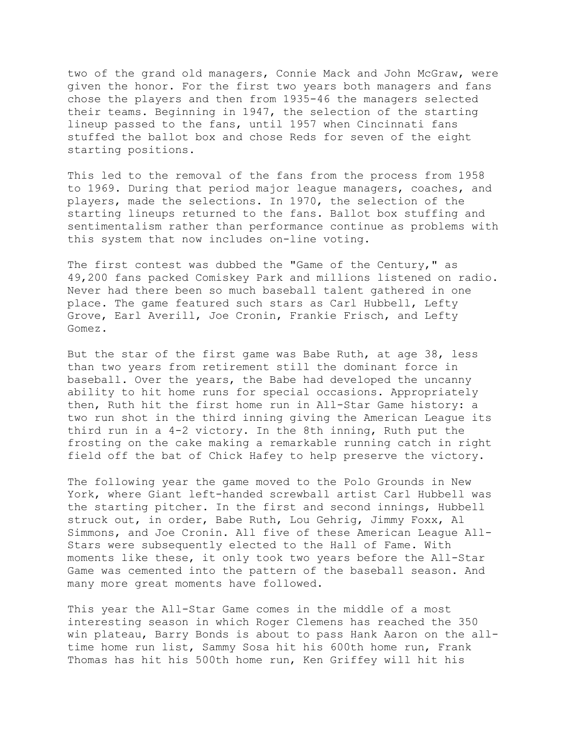two of the grand old managers, Connie Mack and John McGraw, were given the honor. For the first two years both managers and fans chose the players and then from 1935-46 the managers selected their teams. Beginning in 1947, the selection of the starting lineup passed to the fans, until 1957 when Cincinnati fans stuffed the ballot box and chose Reds for seven of the eight starting positions.

This led to the removal of the fans from the process from 1958 to 1969. During that period major league managers, coaches, and players, made the selections. In 1970, the selection of the starting lineups returned to the fans. Ballot box stuffing and sentimentalism rather than performance continue as problems with this system that now includes on-line voting.

The first contest was dubbed the "Game of the Century," as 49,200 fans packed Comiskey Park and millions listened on radio. Never had there been so much baseball talent gathered in one place. The game featured such stars as Carl Hubbell, Lefty Grove, Earl Averill, Joe Cronin, Frankie Frisch, and Lefty Gomez.

But the star of the first game was Babe Ruth, at age 38, less than two years from retirement still the dominant force in baseball. Over the years, the Babe had developed the uncanny ability to hit home runs for special occasions. Appropriately then, Ruth hit the first home run in All-Star Game history: a two run shot in the third inning giving the American League its third run in a 4-2 victory. In the 8th inning, Ruth put the frosting on the cake making a remarkable running catch in right field off the bat of Chick Hafey to help preserve the victory.

The following year the game moved to the Polo Grounds in New York, where Giant left-handed screwball artist Carl Hubbell was the starting pitcher. In the first and second innings, Hubbell struck out, in order, Babe Ruth, Lou Gehrig, Jimmy Foxx, Al Simmons, and Joe Cronin. All five of these American League All-Stars were subsequently elected to the Hall of Fame. With moments like these, it only took two years before the All-Star Game was cemented into the pattern of the baseball season. And many more great moments have followed.

This year the All-Star Game comes in the middle of a most interesting season in which Roger Clemens has reached the 350 win plateau, Barry Bonds is about to pass Hank Aaron on the alltime home run list, Sammy Sosa hit his 600th home run, Frank Thomas has hit his 500th home run, Ken Griffey will hit his